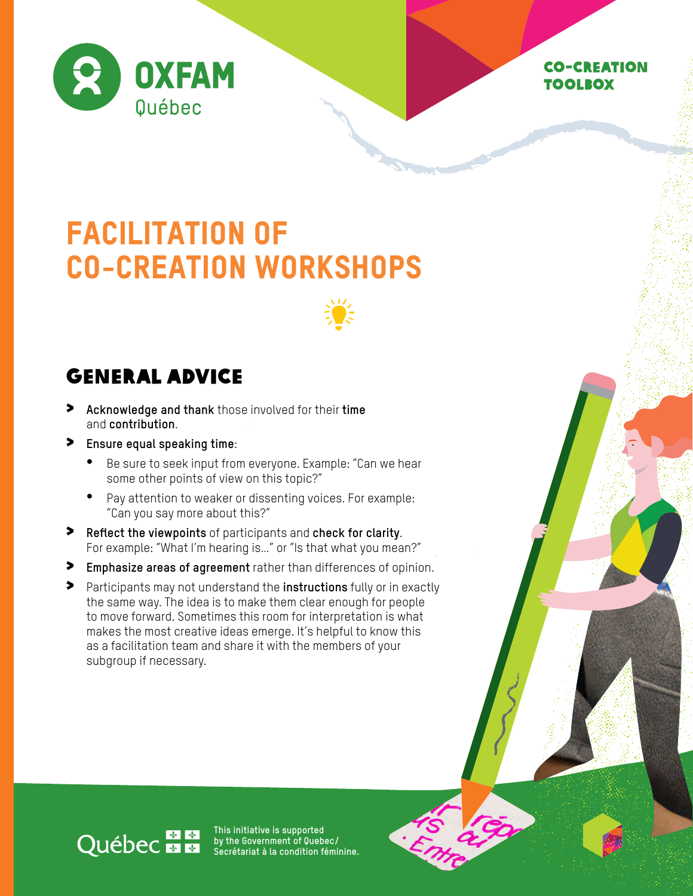

#### Co-creation toolbox

# FACILITATION OF CO-CREATION WORKSHOPS



### General advice

- > **Acknowledge and thank** those involved for their **time** and **contribution**.
- > **Ensure equal speaking time**:
	- Be sure to seek input from everyone. Example: "Can we hear some other points of view on this topic?"
	- Pay attention to weaker or dissenting voices. For example: "Can you say more about this?"
- > **Reflect the viewpoints** of participants and **check for clarity**. For example: "What I'm hearing is…" or "Is that what you mean?"
- > **Emphasize areas of agreement** rather than differences of opinion.
- > Participants may not understand the **instructions** fully or in exactly the same way. The idea is to make them clear enough for people to move forward. Sometimes this room for interpretation is what makes the most creative ideas emerge. It's helpful to know this as a facilitation team and share it with the members of your subgroup if necessary.

## Québec - E

**This initiative is supported by the Government of Quebec/ Secrétariat à la condition féminine.**